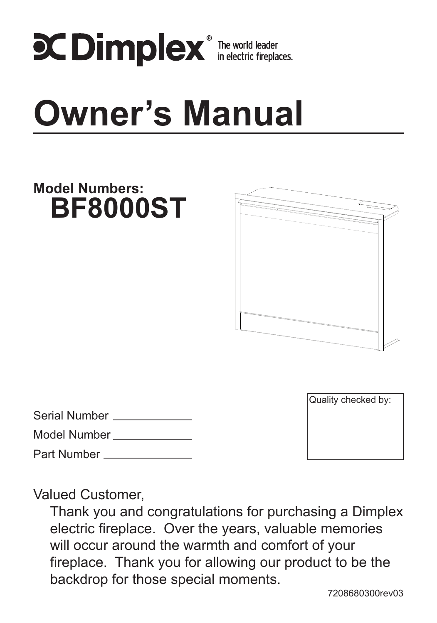

# **Owner's Manual**

# Serial Number Model Number Part Number Quality checked by: **Model Numbers: BF8000ST**

Valued Customer,

Thank you and congratulations for purchasing a Dimplex electric fireplace. Over the years, valuable memories will occur around the warmth and comfort of your fireplace. Thank you for allowing our product to be the backdrop for those special moments.

7208680300rev03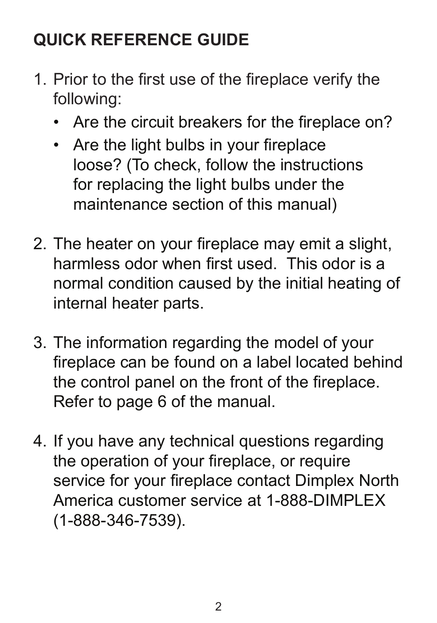# **QUICK REFERENCE GUIDE**

- 1. Prior to the first use of the fireplace verify the following:
	- Are the circuit breakers for the fireplace on?
	- Are the light bulbs in your fireplace loose? (To check, follow the instructions for replacing the light bulbs under the maintenance section of this manual)
- 2. The heater on your fireplace may emit a slight, harmless odor when first used. This odor is a normal condition caused by the initial heating of internal heater parts.
- 3. The information regarding the model of your fireplace can be found on a label located behind the control panel on the front of the fireplace. Refer to page 6 of the manual.
- 4. If you have any technical questions regarding the operation of your fireplace, or require service for your fireplace contact Dimplex North America customer service at 1-888-DIMPLEX (1-888-346-7539).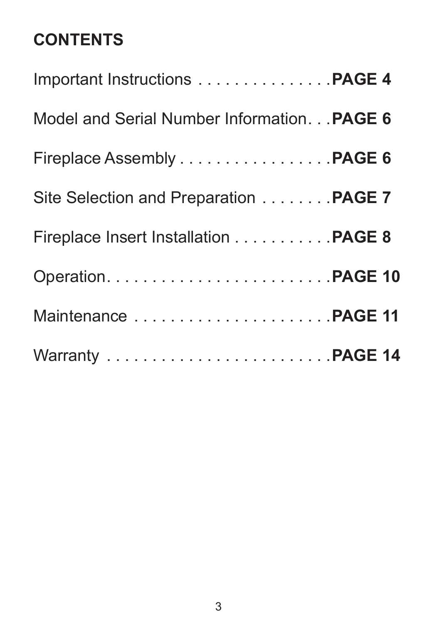# **CONTENTS**

| Important Instructions PAGE 4              |  |
|--------------------------------------------|--|
| Model and Serial Number Information PAGE 6 |  |
| Fireplace Assembly PAGE 6                  |  |
| Site Selection and Preparation PAGE 7      |  |
| Fireplace Insert Installation PAGE 8       |  |
|                                            |  |
|                                            |  |
|                                            |  |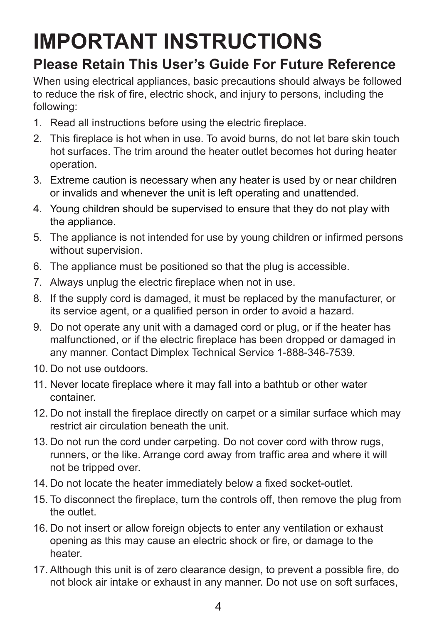# **IMPORTANT INSTRUCTIONS**

# **Please Retain This User's Guide For Future Reference**

When using electrical appliances, basic precautions should always be followed to reduce the risk of fire, electric shock, and injury to persons, including the following:

- 1. Read all instructions before using the electric fireplace.
- 2. This fireplace is hot when in use. To avoid burns, do not let bare skin touch hot surfaces. The trim around the heater outlet becomes hot during heater operation.
- 3. Extreme caution is necessary when any heater is used by or near children or invalids and whenever the unit is left operating and unattended.
- 4. Young children should be supervised to ensure that they do not play with the appliance.
- 5. The appliance is not intended for use by young children or infirmed persons without supervision.
- 6. The appliance must be positioned so that the plug is accessible.
- 7. Always unplug the electric fireplace when not in use.
- 8. If the supply cord is damaged, it must be replaced by the manufacturer, or its service agent, or a qualified person in order to avoid a hazard.
- 9. Do not operate any unit with a damaged cord or plug, or if the heater has malfunctioned, or if the electric fireplace has been dropped or damaged in any manner. Contact Dimplex Technical Service 1-888-346-7539.
- 10. Do not use outdoors.
- 11. Never locate fireplace where it may fall into a bathtub or other water container.
- 12. Do not install the fireplace directly on carpet or a similar surface which may restrict air circulation beneath the unit.
- 13. Do not run the cord under carpeting. Do not cover cord with throw rugs, runners, or the like. Arrange cord away from traffic area and where it will not be tripped over.
- 14. Do not locate the heater immediately below a fixed socket-outlet.
- 15. To disconnect the fireplace, turn the controls off, then remove the plug from the outlet.
- 16. Do not insert or allow foreign objects to enter any ventilation or exhaust opening as this may cause an electric shock or fire, or damage to the heater.
- 17. Although this unit is of zero clearance design, to prevent a possible fire, do not block air intake or exhaust in any manner. Do not use on soft surfaces,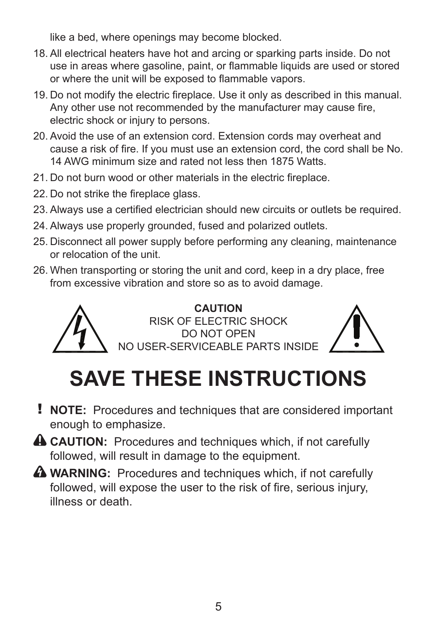like a bed, where openings may become blocked.

- 18. All electrical heaters have hot and arcing or sparking parts inside. Do not use in areas where gasoline, paint, or flammable liquids are used or stored or where the unit will be exposed to flammable vapors.
- 19. Do not modify the electric fireplace. Use it only as described in this manual. Any other use not recommended by the manufacturer may cause fire, electric shock or injury to persons.
- 20. Avoid the use of an extension cord. Extension cords may overheat and cause a risk of fire. If you must use an extension cord, the cord shall be No. 14 AWG minimum size and rated not less then 1875 Watts.
- 21. Do not burn wood or other materials in the electric fireplace.
- 22. Do not strike the fireplace glass.
- 23. Always use a certified electrician should new circuits or outlets be required.
- 24. Always use properly grounded, fused and polarized outlets.
- 25. Disconnect all power supply before performing any cleaning, maintenance or relocation of the unit.
- 26. When transporting or storing the unit and cord, keep in a dry place, free from excessive vibration and store so as to avoid damage.



**CAUTION** RISK OF ELECTRIC SHOCK Do not open No user-serviceable parts inside



# **SAVE THESE INSTRUCTIONS**

- ! **NOTE:** Procedures and techniques that are considered important enough to emphasize.
- **CAUTION:** Procedures and techniques which, if not carefully followed, will result in damage to the equipment.
- **WARNING:** Procedures and techniques which, if not carefully followed, will expose the user to the risk of fire, serious injury, illness or death.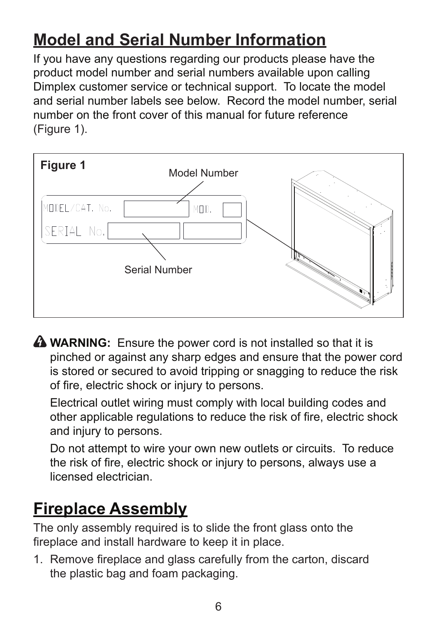# **Model and Serial Number Information**

If you have any questions regarding our products please have the product model number and serial numbers available upon calling Dimplex customer service or technical support. To locate the model and serial number labels see below. Record the model number, serial number on the front cover of this manual for future reference (figure 1).



**A WARNING:** Ensure the power cord is not installed so that it is pinched or against any sharp edges and ensure that the power cord is stored or secured to avoid tripping or snagging to reduce the risk of fire, electric shock or injury to persons.

 Electrical outlet wiring must comply with local building codes and other applicable regulations to reduce the risk of fire, electric shock and injury to persons.

 Do not attempt to wire your own new outlets or circuits. To reduce the risk of fire, electric shock or injury to persons, always use a licensed electrician.

# **Fireplace Assembly**

The only assembly required is to slide the front glass onto the fireplace and install hardware to keep it in place.

1. Remove fireplace and glass carefully from the carton, discard the plastic bag and foam packaging.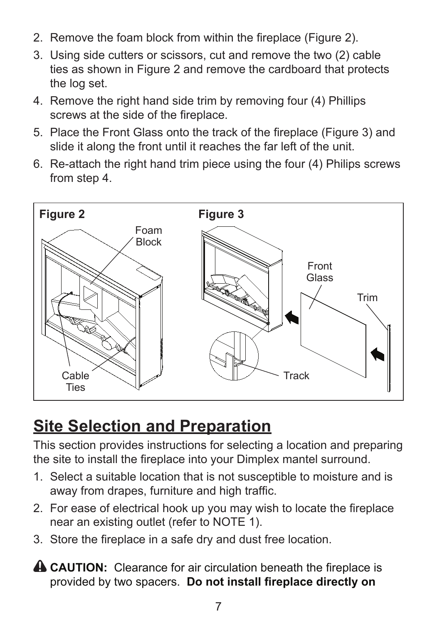- 2. Remove the foam block from within the fireplace (Figure 2).
- 3. Using side cutters or scissors, cut and remove the two (2) cable ties as shown in Figure 2 and remove the cardboard that protects the log set.
- 4. Remove the right hand side trim by removing four (4) Phillips screws at the side of the fireplace.
- 5. Place the Front Glass onto the track of the fireplace (Figure 3) and slide it along the front until it reaches the far left of the unit.
- 6. Re-attach the right hand trim piece using the four (4) Philips screws from step 4.



# **Site Selection and Preparation**

This section provides instructions for selecting a location and preparing the site to install the fireplace into your Dimplex mantel surround.

- 1. Select a suitable location that is not susceptible to moisture and is away from drapes, furniture and high traffic.
- 2. For ease of electrical hook up you may wish to locate the fireplace near an existing outlet (refer to NOTE 1).
- 3. Store the fireplace in a safe dry and dust free location.
- **A CAUTION:** Clearance for air circulation beneath the fireplace is provided by two spacers. **Do not install fireplace directly on**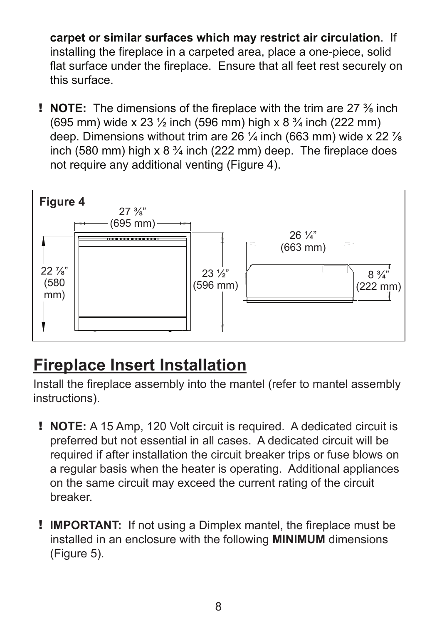**carpet or similar surfaces which may restrict air circulation**. If installing the fireplace in a carpeted area, place a one-piece, solid flat surface under the fireplace. Ensure that all feet rest securely on this surface.

! **NOTE:** The dimensions of the fireplace with the trim are 27 ⅜ inch (695 mm) wide x 23 ½ inch (596 mm) high x 8 ¾ inch (222 mm) deep. Dimensions without trim are 26  $\frac{1}{4}$  inch (663 mm) wide x 22  $\frac{7}{8}$ inch (580 mm) high x  $8\frac{3}{4}$  inch (222 mm) deep. The fireplace does not require any additional venting (Figure 4).



# **Fireplace Insert Installation**

Install the fireplace assembly into the mantel (refer to mantel assembly instructions).

- ! **NOTE:** A 15 Amp, 120 Volt circuit is required. A dedicated circuit is preferred but not essential in all cases. A dedicated circuit will be required if after installation the circuit breaker trips or fuse blows on a regular basis when the heater is operating. Additional appliances on the same circuit may exceed the current rating of the circuit breaker.
- ! **IMPORTANT:** If not using a Dimplex mantel, the fireplace must be installed in an enclosure with the following **MINIMUM** dimensions (Figure 5).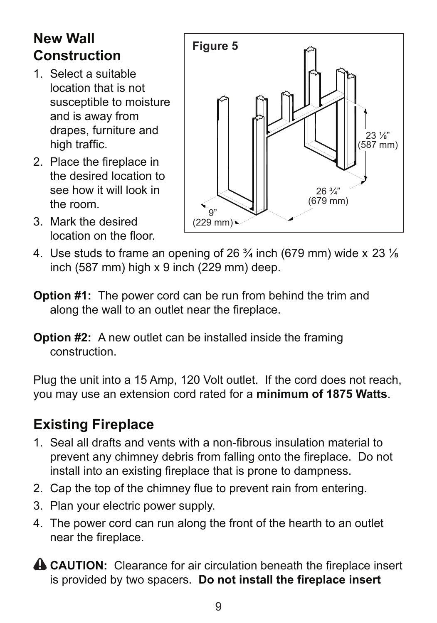# **New Wall Construction**

- 1. Select a suitable location that is not susceptible to moisture and is away from drapes, furniture and high traffic.
- 2. Place the fireplace in the desired location to see how it will look in the room.
- 3. Mark the desired location on the floor.



- 4. Use studs to frame an opening of 26  $\frac{3}{4}$  inch (679 mm) wide x 23  $\frac{1}{8}$ inch (587 mm) high x 9 inch (229 mm) deep.
- **Option #1:** The power cord can be run from behind the trim and along the wall to an outlet near the fireplace.
- **Option #2:** A new outlet can be installed inside the framing construction.

Plug the unit into a 15 Amp, 120 Volt outlet. If the cord does not reach, you may use an extension cord rated for a **minimum of 1875 Watts**.

# **Existing Fireplace**

- 1. Seal all drafts and vents with a non-fibrous insulation material to prevent any chimney debris from falling onto the fireplace. Do not install into an existing fireplace that is prone to dampness.
- 2. Cap the top of the chimney flue to prevent rain from entering.
- 3. Plan your electric power supply.
- 4. The power cord can run along the front of the hearth to an outlet near the fireplace.
- **A CAUTION:** Clearance for air circulation beneath the fireplace insert is provided by two spacers. **Do not install the fireplace insert**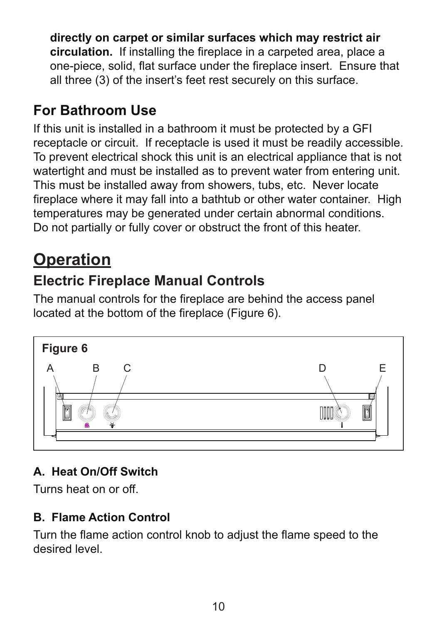**directly on carpet or similar surfaces which may restrict air circulation.** If installing the fireplace in a carpeted area, place a one-piece, solid, flat surface under the fireplace insert. Ensure that all three (3) of the insert's feet rest securely on this surface.

# **For Bathroom Use**

If this unit is installed in a bathroom it must be protected by a GFI receptacle or circuit. If receptacle is used it must be readily accessible. To prevent electrical shock this unit is an electrical appliance that is not watertight and must be installed as to prevent water from entering unit. This must be installed away from showers, tubs, etc. Never locate fireplace where it may fall into a bathtub or other water container. High temperatures may be generated under certain abnormal conditions. Do not partially or fully cover or obstruct the front of this heater.

# **Operation**

# **Electric Fireplace Manual Controls**

The manual controls for the fireplace are behind the access panel located at the bottom of the fireplace (Figure 6).



## **A. Heat On/Off Switch**

Turns heat on or off.

#### **B. Flame Action Control**

Turn the flame action control knob to adjust the flame speed to the desired level.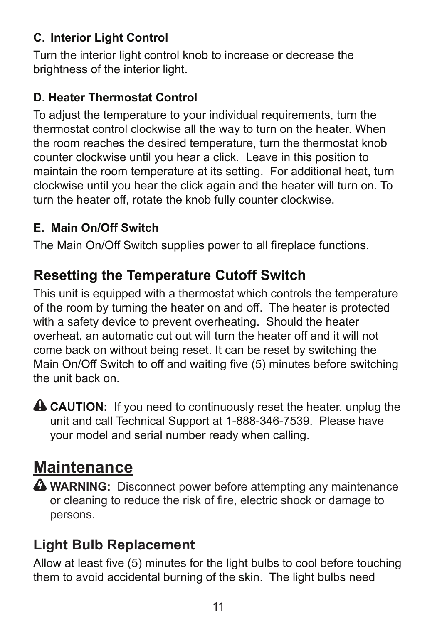#### **C. Interior Light Control**

Turn the interior light control knob to increase or decrease the brightness of the interior light.

#### **D. Heater Thermostat Control**

To adjust the temperature to your individual requirements, turn the thermostat control clockwise all the way to turn on the heater. When the room reaches the desired temperature, turn the thermostat knob counter clockwise until you hear a click. Leave in this position to maintain the room temperature at its setting. For additional heat, turn clockwise until you hear the click again and the heater will turn on. To turn the heater off, rotate the knob fully counter clockwise.

#### **E. Main On/Off Switch**

The Main On/Off Switch supplies power to all fireplace functions.

### **Resetting the Temperature Cutoff Switch**

This unit is equipped with a thermostat which controls the temperature of the room by turning the heater on and off. The heater is protected with a safety device to prevent overheating. Should the heater overheat, an automatic cut out will turn the heater off and it will not come back on without being reset. It can be reset by switching the Main On/Off Switch to off and waiting five (5) minutes before switching the unit back on.

**A CAUTION:** If you need to continuously reset the heater, unplug the unit and call Technical Support at 1-888-346-7539. Please have your model and serial number ready when calling.

# **Maintenance**

**A WARNING:** Disconnect power before attempting any maintenance or cleaning to reduce the risk of fire, electric shock or damage to persons.

### **Light Bulb Replacement**

Allow at least five (5) minutes for the light bulbs to cool before touching them to avoid accidental burning of the skin. The light bulbs need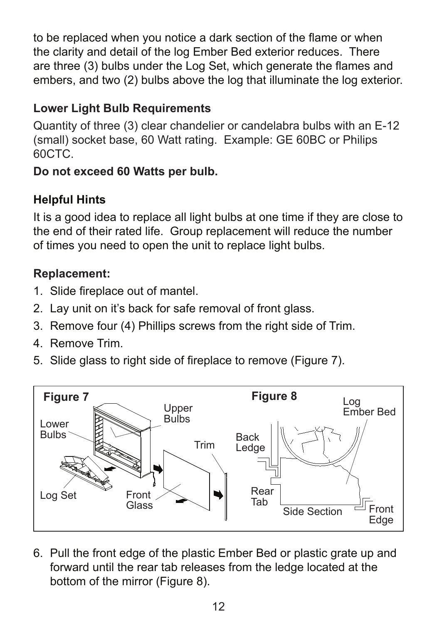to be replaced when you notice a dark section of the flame or when the clarity and detail of the log Ember Bed exterior reduces. There are three (3) bulbs under the Log Set, which generate the flames and embers, and two (2) bulbs above the log that illuminate the log exterior.

#### **Lower Light Bulb Requirements**

Quantity of three (3) clear chandelier or candelabra bulbs with an E-12 (small) socket base, 60 Watt rating. Example: GE 60BC or Philips 60CTC.

#### **Do not exceed 60 Watts per bulb.**

#### **Helpful Hints**

It is a good idea to replace all light bulbs at one time if they are close to the end of their rated life. Group replacement will reduce the number of times you need to open the unit to replace light bulbs.

#### **Replacement:**

- 1. Slide fireplace out of mantel.
- 2. Lay unit on it's back for safe removal of front glass.
- 3. Remove four (4) Phillips screws from the right side of Trim.
- 4 Remove Trim.
- 5. Slide glass to right side of fireplace to remove (Figure 7).



6. Pull the front edge of the plastic Ember Bed or plastic grate up and forward until the rear tab releases from the ledge located at the bottom of the mirror (Figure 8).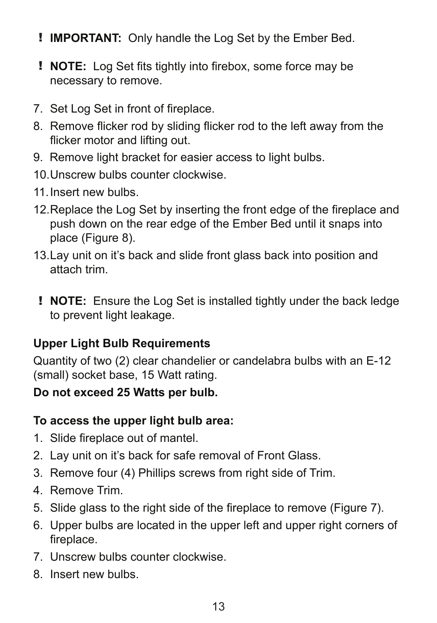- ! **IMPORTANT:** Only handle the Log Set by the Ember Bed.
- ! **NOTE:** Log Set fits tightly into firebox, some force may be necessary to remove.
- 7. Set Log Set in front of fireplace.
- 8. Remove flicker rod by sliding flicker rod to the left away from the flicker motor and lifting out.
- 9. Remove light bracket for easier access to light bulbs.
- 10. Unscrew bulbs counter clockwise.
- 11. Insert new bulbs.
- 12. Replace the Log Set by inserting the front edge of the fireplace and push down on the rear edge of the Ember Bed until it snaps into place (Figure 8).
- 13. Lay unit on it's back and slide front glass back into position and attach trim.
- ! **NOTE:** Ensure the Log Set is installed tightly under the back ledge to prevent light leakage.

#### **Upper Light Bulb Requirements**

Quantity of two (2) clear chandelier or candelabra bulbs with an E-12 (small) socket base, 15 Watt rating.

#### **Do not exceed 25 Watts per bulb.**

#### **To access the upper light bulb area:**

- 1. Slide fireplace out of mantel.
- 2. Lay unit on it's back for safe removal of Front Glass.
- 3. Remove four (4) Phillips screws from right side of Trim.
- 4. Remove Trim.
- 5. Slide glass to the right side of the fireplace to remove (Figure 7).
- 6. Upper bulbs are located in the upper left and upper right corners of fireplace.
- 7. Unscrew bulbs counter clockwise.
- 8. Insert new bulbs.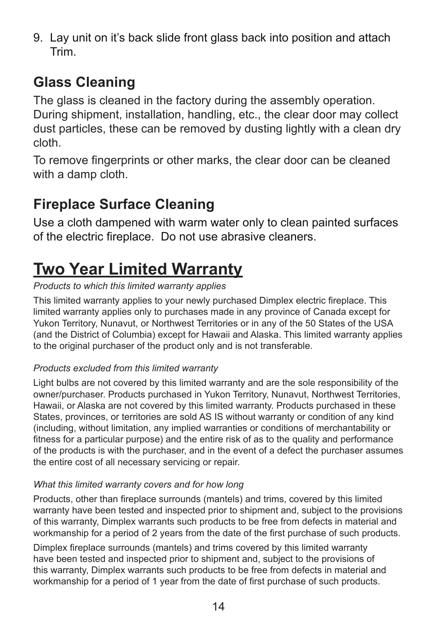9. Lay unit on it's back slide front glass back into position and attach Trim.

# **Glass Cleaning**

The glass is cleaned in the factory during the assembly operation. During shipment, installation, handling, etc., the clear door may collect dust particles, these can be removed by dusting lightly with a clean dry cloth.

To remove fingerprints or other marks, the clear door can be cleaned with a damp cloth.

# **Fireplace Surface Cleaning**

Use a cloth dampened with warm water only to clean painted surfaces of the electric fireplace. Do not use abrasive cleaners.

# **Two Year Limited Warranty**

#### *Products to which this limited warranty applies*

This limited warranty applies to your newly purchased Dimplex electric fireplace. This limited warranty applies only to purchases made in any province of Canada except for Yukon Territory, Nunavut, or Northwest Territories or in any of the 50 States of the USA (and the District of Columbia) except for Hawaii and Alaska. This limited warranty applies to the original purchaser of the product only and is not transferable.

#### *Products excluded from this limited warranty*

Light bulbs are not covered by this limited warranty and are the sole responsibility of the owner/purchaser. Products purchased in Yukon Territory, Nunavut, Northwest Territories, Hawaii, or Alaska are not covered by this limited warranty. Products purchased in these States, provinces, or territories are sold AS IS without warranty or condition of any kind (including, without limitation, any implied warranties or conditions of merchantability or fitness for a particular purpose) and the entire risk of as to the quality and performance of the products is with the purchaser, and in the event of a defect the purchaser assumes the entire cost of all necessary servicing or repair.

#### *What this limited warranty covers and for how long*

Products, other than fireplace surrounds (mantels) and trims, covered by this limited warranty have been tested and inspected prior to shipment and, subject to the provisions of this warranty, Dimplex warrants such products to be free from defects in material and workmanship for a period of 2 years from the date of the first purchase of such products.

Dimplex fireplace surrounds (mantels) and trims covered by this limited warranty have been tested and inspected prior to shipment and, subject to the provisions of this warranty, Dimplex warrants such products to be free from defects in material and workmanship for a period of 1 year from the date of first purchase of such products.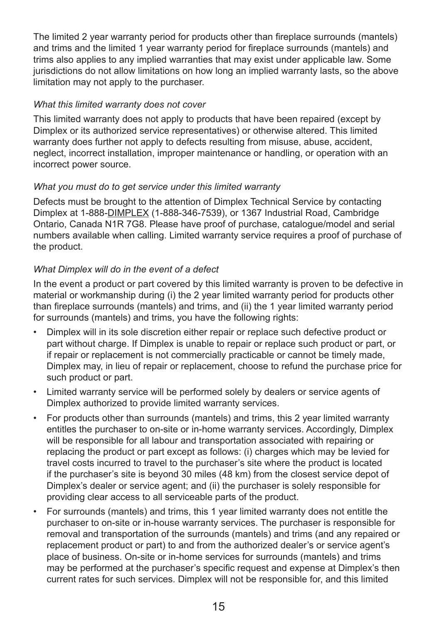The limited 2 year warranty period for products other than fireplace surrounds (mantels) and trims and the limited 1 year warranty period for fireplace surrounds (mantels) and trims also applies to any implied warranties that may exist under applicable law. Some jurisdictions do not allow limitations on how long an implied warranty lasts, so the above limitation may not apply to the purchaser.

#### *What this limited warranty does not cover*

This limited warranty does not apply to products that have been repaired (except by Dimplex or its authorized service representatives) or otherwise altered. This limited warranty does further not apply to defects resulting from misuse, abuse, accident, neglect, incorrect installation, improper maintenance or handling, or operation with an incorrect power source.

#### *What you must do to get service under this limited warranty*

Defects must be brought to the attention of Dimplex Technical Service by contacting Dimplex at 1-888-DIMPLEX (1-888-346-7539), or 1367 Industrial Road, Cambridge Ontario, Canada N1R 7G8. Please have proof of purchase, catalogue/model and serial numbers available when calling. Limited warranty service requires a proof of purchase of the product.

#### *What Dimplex will do in the event of a defect*

In the event a product or part covered by this limited warranty is proven to be defective in material or workmanship during (i) the 2 year limited warranty period for products other than fireplace surrounds (mantels) and trims, and (ii) the 1 year limited warranty period for surrounds (mantels) and trims, you have the following rights:

- Dimplex will in its sole discretion either repair or replace such defective product or part without charge. If Dimplex is unable to repair or replace such product or part, or if repair or replacement is not commercially practicable or cannot be timely made, Dimplex may, in lieu of repair or replacement, choose to refund the purchase price for such product or part.
- Limited warranty service will be performed solely by dealers or service agents of Dimplex authorized to provide limited warranty services.
- For products other than surrounds (mantels) and trims, this 2 year limited warranty entitles the purchaser to on-site or in-home warranty services. Accordingly, Dimplex will be responsible for all labour and transportation associated with repairing or replacing the product or part except as follows: (i) charges which may be levied for travel costs incurred to travel to the purchaser's site where the product is located if the purchaser's site is beyond 30 miles (48 km) from the closest service depot of Dimplex's dealer or service agent; and (ii) the purchaser is solely responsible for providing clear access to all serviceable parts of the product.
- • For surrounds (mantels) and trims, this 1 year limited warranty does not entitle the purchaser to on-site or in-house warranty services. The purchaser is responsible for removal and transportation of the surrounds (mantels) and trims (and any repaired or replacement product or part) to and from the authorized dealer's or service agent's place of business. On-site or in-home services for surrounds (mantels) and trims may be performed at the purchaser's specific request and expense at Dimplex's then current rates for such services. Dimplex will not be responsible for, and this limited